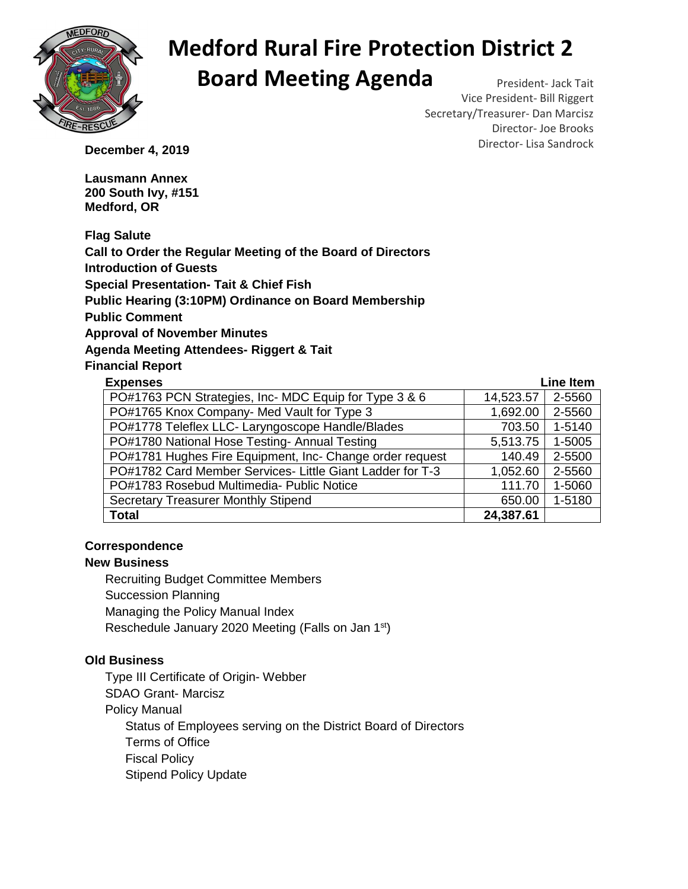

# **Medford Rural Fire Protection District 2 Board Meeting Agenda** President- Jack Tait

Vice President- Bill Riggert Secretary/Treasurer- Dan Marcisz Director- Joe Brooks **December 4, 2019 December 4, 2019** 

**Lausmann Annex 200 South Ivy, #151 Medford, OR** 

**Flag Salute Call to Order the Regular Meeting of the Board of Directors Introduction of Guests Special Presentation- Tait & Chief Fish Public Hearing (3:10PM) Ordinance on Board Membership Public Comment Approval of November Minutes Agenda Meeting Attendees- Riggert & Tait Financial Report** 

| <b>Expenses</b>                                           | <b>Line Item</b> |        |
|-----------------------------------------------------------|------------------|--------|
| PO#1763 PCN Strategies, Inc- MDC Equip for Type 3 & 6     | 14,523.57        | 2-5560 |
| PO#1765 Knox Company- Med Vault for Type 3                | 1,692.00         | 2-5560 |
| PO#1778 Teleflex LLC- Laryngoscope Handle/Blades          | 703.50           | 1-5140 |
| PO#1780 National Hose Testing- Annual Testing             | 5,513.75         | 1-5005 |
| PO#1781 Hughes Fire Equipment, Inc- Change order request  | 140.49           | 2-5500 |
| PO#1782 Card Member Services- Little Giant Ladder for T-3 | 1,052.60         | 2-5560 |
| PO#1783 Rosebud Multimedia- Public Notice                 | 111.70           | 1-5060 |
| <b>Secretary Treasurer Monthly Stipend</b>                | 650.00           | 1-5180 |
| <b>Total</b>                                              | 24,387.61        |        |

### **Correspondence**

#### **New Business**

Recruiting Budget Committee Members Succession Planning Managing the Policy Manual Index Reschedule January 2020 Meeting (Falls on Jan 1st)

### **Old Business**

Type III Certificate of Origin- Webber SDAO Grant- Marcisz Policy Manual Status of Employees serving on the District Board of Directors Terms of Office Fiscal Policy Stipend Policy Update